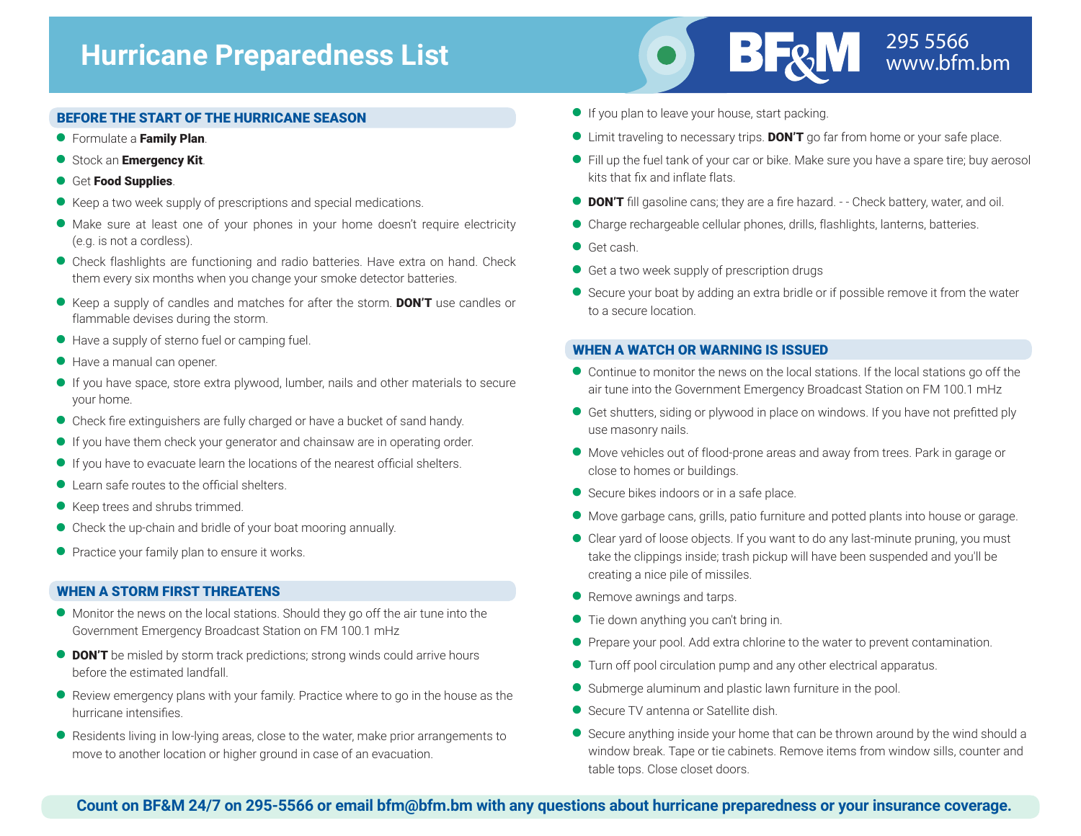

#### BEFORE THE START OF THE HURRICANE SEASON

- **•** Formulate a Family Plan.
- Stock an Emergency Kit.
- **Get Food Supplies.**
- Keep a two week supply of prescriptions and special medications.
- <sup>Q</sup> Make sure at least one of your phones in your home doesn't require electricity (e.g. is not a cordless).
- **Check flashlights are functioning and radio batteries. Have extra on hand. Check** them every six months when you change your smoke detector batteries.
- Exeep a supply of candles and matches for after the storm. DON'T use candles or flammable devises during the storm.
- Have a supply of sterno fuel or camping fuel.
- Have a manual can opener.
- <sup>Q</sup> If you have space, store extra plywood, lumber, nails and other materials to secure your home.
- Check fire extinguishers are fully charged or have a bucket of sand handy.
- <sup>Q</sup> If you have them check your generator and chainsaw are in operating order.
- <sup>Q</sup> If you have to evacuate learn the locations of the nearest official shelters.
- Learn safe routes to the official shelters.
- Keep trees and shrubs trimmed.
- Check the up-chain and bridle of your boat mooring annually.
- **•** Practice your family plan to ensure it works.

#### WHEN A STORM FIRST THREATENS

- <sup>Q</sup> Monitor the news on the local stations. Should they go off the air tune into the Government Emergency Broadcast Station on FM 100.1 mHz
- **DON'T** be misled by storm track predictions; strong winds could arrive hours before the estimated landfall.
- <sup>Q</sup> Review emergency plans with your family. Practice where to go in the house as the hurricane intensifies.
- <sup>Q</sup> Residents living in low-lying areas, close to the water, make prior arrangements to move to another location or higher ground in case of an evacuation.
- **O** If you plan to leave your house, start packing.
- **If Limit traveling to necessary trips. DON'T go far from home or your safe place.**
- <sup>Q</sup> Fill up the fuel tank of your car or bike. Make sure you have a spare tire; buy aerosol kits that fix and inflate flats.
- **DON'T** fill gasoline cans; they are a fire hazard. - Check battery, water, and oil.
- <sup>Q</sup> Charge rechargeable cellular phones, drills, flashlights, lanterns, batteries.
- Get cash.
- Get a two week supply of prescription drugs
- Secure your boat by adding an extra bridle or if possible remove it from the water to a secure location.

#### WHEN A WATCH OR WARNING IS ISSUED

- <sup>Q</sup> Continue to monitor the news on the local stations. If the local stations go off the air tune into the Government Emergency Broadcast Station on FM 100.1 mHz
- <sup>Q</sup> Get shutters, siding or plywood in place on windows. If you have not prefitted ply use masonry nails.
- <sup>Q</sup> Move vehicles out of flood-prone areas and away from trees. Park in garage or close to homes or buildings.
- Secure bikes indoors or in a safe place.
- <sup>Q</sup> Move garbage cans, grills, patio furniture and potted plants into house or garage.
- <sup>Q</sup> Clear yard of loose objects. If you want to do any last-minute pruning, you must take the clippings inside; trash pickup will have been suspended and you'll be creating a nice pile of missiles.
- **•** Remove awnings and tarps.
- **•** Tie down anything you can't bring in.
- **•** Prepare your pool. Add extra chlorine to the water to prevent contamination.
- **Turn off pool circulation pump and any other electrical apparatus.**
- Submerge aluminum and plastic lawn furniture in the pool.
- Secure TV antenna or Satellite dish.
- Secure anything inside your home that can be thrown around by the wind should a window break. Tape or tie cabinets. Remove items from window sills, counter and table tops. Close closet doors.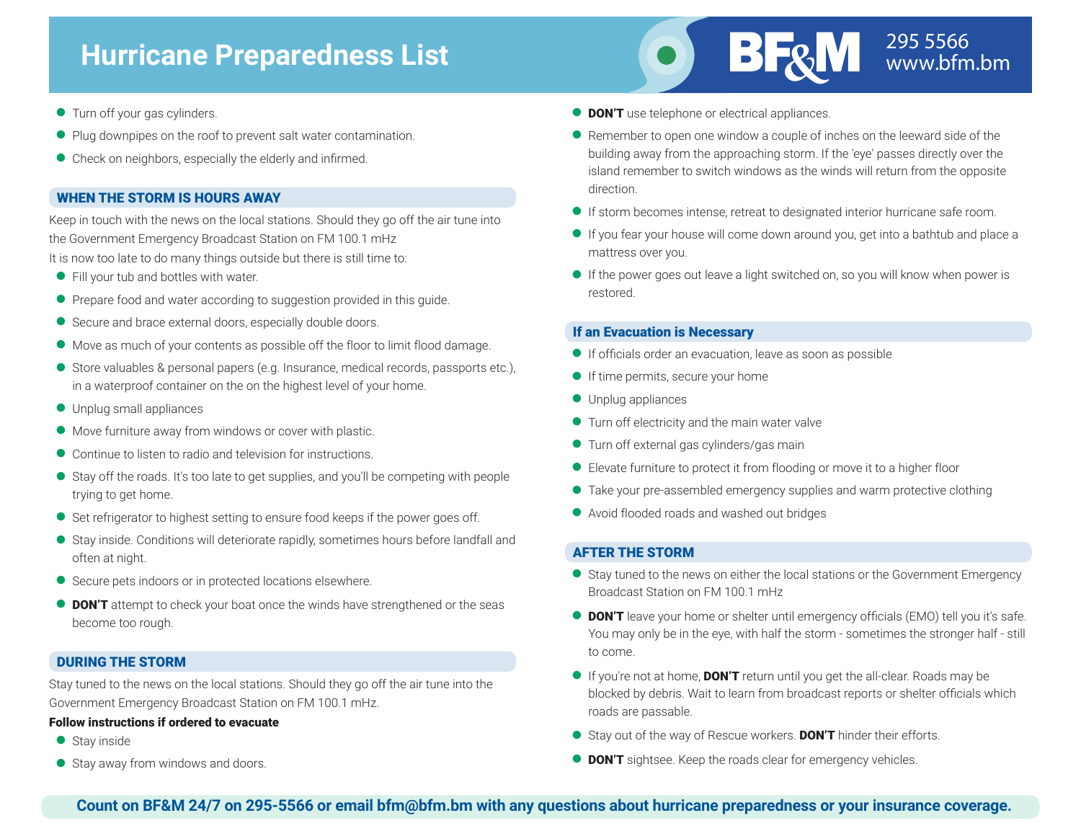

- **Turn off your gas cylinders.**
- **•** Plug downpipes on the roof to prevent salt water contamination.
- <sup>Q</sup> Check on neighbors, especially the elderly and infirmed.

## WHEN THE STORM IS HOURS AWAY

Keep in touch with the news on the local stations. Should they go off the air tune into the Government Emergency Broadcast Station on FM 100.1 mHz It is now too late to do many things outside but there is still time to:

- Fill your tub and bottles with water.
- **•** Prepare food and water according to suggestion provided in this guide.
- Secure and brace external doors, especially double doors.
- <sup>Q</sup> Move as much of your contents as possible off the floor to limit flood damage.
- <sup>Q</sup> Store valuables & personal papers (e.g. Insurance, medical records, passports etc.), in a waterproof container on the on the highest level of your home.
- **O** Unplug small appliances
- <sup>Q</sup> Move furniture away from windows or cover with plastic.
- Continue to listen to radio and television for instructions.
- <sup>Q</sup> Stay off the roads. It's too late to get supplies, and you'll be competing with people trying to get home.
- Set refrigerator to highest setting to ensure food keeps if the power goes off.
- <sup>Q</sup> Stay inside. Conditions will deteriorate rapidly, sometimes hours before landfall and often at night.
- Secure pets indoors or in protected locations elsewhere.
- **DON'T** attempt to check your boat once the winds have strengthened or the seas become too rough.

## DURING THE STORM

Stay tuned to the news on the local stations. Should they go off the air tune into the Government Emergency Broadcast Station on FM 100.1 mHz.

#### Follow instructions if ordered to evacuate

- Stav inside
- Stay away from windows and doors.
- **DON'T** use telephone or electrical appliances.
- Remember to open one window a couple of inches on the leeward side of the building away from the approaching storm. If the 'eye' passes directly over the island remember to switch windows as the winds will return from the opposite direction.
- <sup>Q</sup> If storm becomes intense, retreat to designated interior hurricane safe room.
- <sup>Q</sup> If you fear your house will come down around you, get into a bathtub and place a mattress over you.
- <sup>Q</sup> If the power goes out leave a light switched on, so you will know when power is restored.

## If an Evacuation is Necessary

- <sup>Q</sup> If officials order an evacuation, leave as soon as possible
- <sup>Q</sup> If time permits, secure your home
- **O** Unplug appliances
- **Turn off electricity and the main water valve**
- **Turn off external gas cylinders/gas main**
- Elevate furniture to protect it from flooding or move it to a higher floor
- Take your pre-assembled emergency supplies and warm protective clothing
- <sup>Q</sup> Avoid flooded roads and washed out bridges

## AFTER THE STORM

- Stay tuned to the news on either the local stations or the Government Emergency Broadcast Station on FM 100.1 mHz
- **DON'T** leave your home or shelter until emergency officials (EMO) tell you it's safe. You may only be in the eye, with half the storm - sometimes the stronger half - still to come.
- If you're not at home, **DON'T** return until you get the all-clear. Roads may be blocked by debris. Wait to learn from broadcast reports or shelter officials which roads are passable.
- Stay out of the way of Rescue workers. **DON'T** hinder their efforts.
- **DON'T** sightsee. Keep the roads clear for emergency vehicles.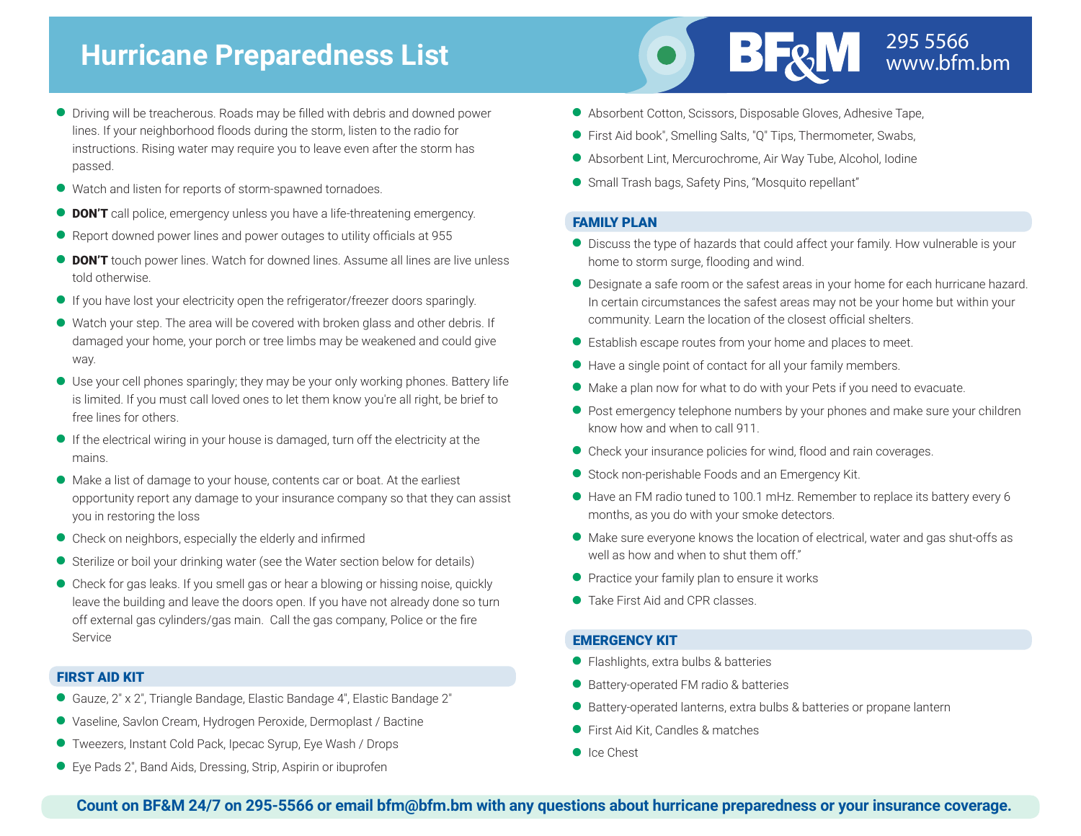# 295 5566 **Hurricane Preparedness List** www.bfm.bm

- **O** Driving will be treacherous. Roads may be filled with debris and downed power lines. If your neighborhood floods during the storm, listen to the radio for instructions. Rising water may require you to leave even after the storm has passed.
- <sup>Q</sup> Watch and listen for reports of storm-spawned tornadoes.
- **DON'T** call police, emergency unless you have a life-threatening emergency.
- Report downed power lines and power outages to utility officials at 955
- **DON'T** touch power lines. Watch for downed lines. Assume all lines are live unless told otherwise.
- <sup>Q</sup> If you have lost your electricity open the refrigerator/freezer doors sparingly.
- <sup>Q</sup> Watch your step. The area will be covered with broken glass and other debris. If damaged your home, your porch or tree limbs may be weakened and could give way.
- <sup>Q</sup> Use your cell phones sparingly; they may be your only working phones. Battery life is limited. If you must call loved ones to let them know you're all right, be brief to free lines for others.
- <sup>Q</sup> If the electrical wiring in your house is damaged, turn off the electricity at the mains.
- <sup>Q</sup> Make a list of damage to your house, contents car or boat. At the earliest opportunity report any damage to your insurance company so that they can assist you in restoring the loss
- $\bullet$  Check on neighbors, especially the elderly and infirmed
- Sterilize or boil your drinking water (see the Water section below for details)
- Check for gas leaks. If you smell gas or hear a blowing or hissing noise, quickly leave the building and leave the doors open. If you have not already done so turn off external gas cylinders/gas main. Call the gas company, Police or the fire Service

## FIRST AID KIT

- Gauze, 2" x 2", Triangle Bandage, Elastic Bandage 4", Elastic Bandage 2"
- <sup>Q</sup> Vaseline, Savlon Cream, Hydrogen Peroxide, Dermoplast / Bactine
- <sup>Q</sup> Tweezers, Instant Cold Pack, Ipecac Syrup, Eye Wash / Drops
- Eye Pads 2", Band Aids, Dressing, Strip, Aspirin or ibuprofen



- First Aid book", Smelling Salts, "Q" Tips, Thermometer, Swabs,
- <sup>Q</sup> Absorbent Lint, Mercurochrome, Air Way Tube, Alcohol, Iodine
- <sup>Q</sup> Small Trash bags, Safety Pins, "Mosquito repellant"

#### FAMILY PLAN

- <sup>Q</sup> Discuss the type of hazards that could affect your family. How vulnerable is your home to storm surge, flooding and wind.
- <sup>Q</sup> Designate a safe room or the safest areas in your home for each hurricane hazard. In certain circumstances the safest areas may not be your home but within your community. Learn the location of the closest official shelters.
- Establish escape routes from your home and places to meet.
- <sup>Q</sup> Have a single point of contact for all your family members.
- <sup>Q</sup> Make a plan now for what to do with your Pets if you need to evacuate.
- **•** Post emergency telephone numbers by your phones and make sure your children know how and when to call 911.
- Check your insurance policies for wind, flood and rain coverages.
- <sup>Q</sup> Stock non-perishable Foods and an Emergency Kit.
- <sup>Q</sup> Have an FM radio tuned to 100.1 mHz. Remember to replace its battery every 6 months, as you do with your smoke detectors.
- <sup>Q</sup> Make sure everyone knows the location of electrical, water and gas shut-offs as well as how and when to shut them off."
- **•** Practice your family plan to ensure it works
- Take First Aid and CPR classes

#### EMERGENCY KIT

- Flashlights, extra bulbs & batteries
- Battery-operated FM radio & batteries
- Battery-operated lanterns, extra bulbs & batteries or propane lantern
- First Aid Kit, Candles & matches
- Ice Chest